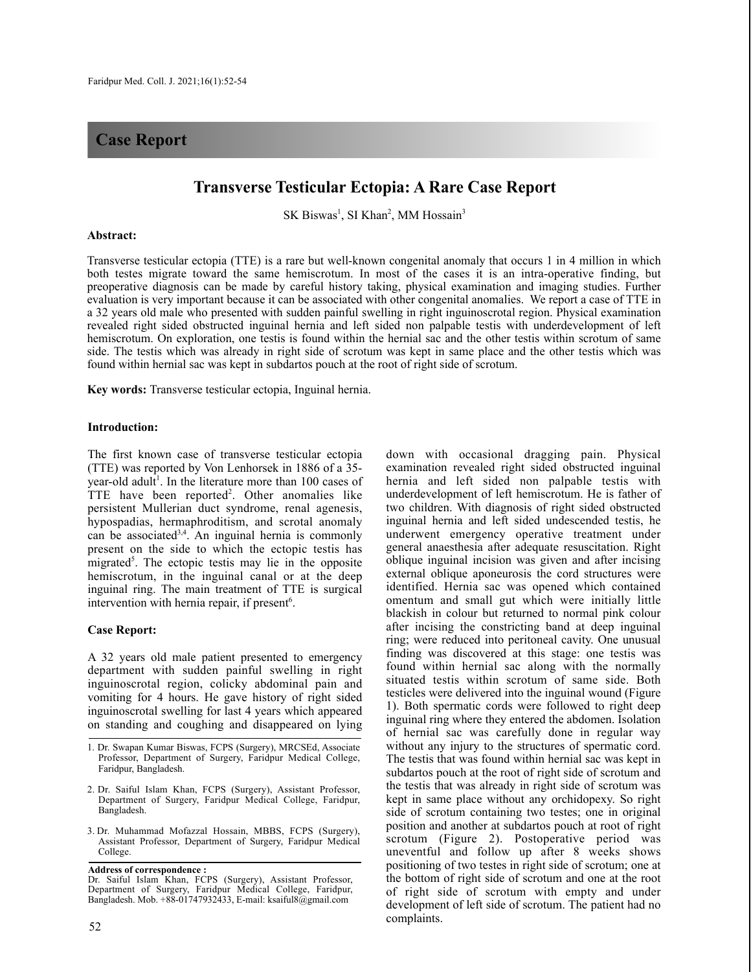# **Case Report**

# **Transverse Testicular Ectopia: A Rare Case Report**

SK Biswas<sup>1</sup>, SI Khan<sup>2</sup>, MM Hossain<sup>3</sup>

### **Abstract:**

Transverse testicular ectopia (TTE) is a rare but well-known congenital anomaly that occurs 1 in 4 million in which both testes migrate toward the same hemiscrotum. In most of the cases it is an intra-operative finding, but preoperative diagnosis can be made by careful history taking, physical examination and imaging studies. Further evaluation is very important because it can be associated with other congenital anomalies. We report a case of TTE in a 32 years old male who presented with sudden painful swelling in right inguinoscrotal region. Physical examination revealed right sided obstructed inguinal hernia and left sided non palpable testis with underdevelopment of left hemiscrotum. On exploration, one testis is found within the hernial sac and the other testis within scrotum of same side. The testis which was already in right side of scrotum was kept in same place and the other testis which was found within hernial sac was kept in subdartos pouch at the root of right side of scrotum.

**Key words:** Transverse testicular ectopia, Inguinal hernia.

### **Introduction:**

The first known case of transverse testicular ectopia (TTE) was reported by Von Lenhorsek in 1886 of a 35 year-old adult 1 . In the literature more than 100 cases of TTE have been reported<sup>2</sup>. Other anomalies like persistent Mullerian duct syndrome, renal agenesis, hypospadias, hermaphroditism, and scrotal anomaly can be associated<sup>3,4</sup>. An inguinal hernia is commonly present on the side to which the ectopic testis has migrated<sup>5</sup>. The ectopic testis may lie in the opposite hemiscrotum, in the inguinal canal or at the deep inguinal ring. The main treatment of TTE is surgical intervention with hernia repair, if present<sup>6</sup>.

### **Case Report:**

A 32 years old male patient presented to emergency department with sudden painful swelling in right inguinoscrotal region, colicky abdominal pain and vomiting for 4 hours. He gave history of right sided inguinoscrotal swelling for last 4 years which appeared on standing and coughing and disappeared on lying

3. Dr. Muhammad Mofazzal Hossain, MBBS, FCPS (Surgery), Assistant Professor, Department of Surgery, Faridpur Medical College.

**Address of correspondence :** Dr. Saiful Islam Khan, FCPS (Surgery), Assistant Professor, Department of Surgery, Faridpur Medical College, Faridpur, Bangladesh. Mob. +88-01747932433, E-mail: ksaiful8@gmail.com

down with occasional dragging pain. Physical examination revealed right sided obstructed inguinal hernia and left sided non palpable testis with underdevelopment of left hemiscrotum. He is father of two children. With diagnosis of right sided obstructed inguinal hernia and left sided undescended testis, he underwent emergency operative treatment under general anaesthesia after adequate resuscitation. Right oblique inguinal incision was given and after incising external oblique aponeurosis the cord structures were identified. Hernia sac was opened which contained omentum and small gut which were initially little blackish in colour but returned to normal pink colour after incising the constricting band at deep inguinal ring; were reduced into peritoneal cavity. One unusual finding was discovered at this stage: one testis was found within hernial sac along with the normally situated testis within scrotum of same side. Both testicles were delivered into the inguinal wound (Figure 1). Both spermatic cords were followed to right deep inguinal ring where they entered the abdomen. Isolation of hernial sac was carefully done in regular way without any injury to the structures of spermatic cord. The testis that was found within hernial sac was kept in subdartos pouch at the root of right side of scrotum and the testis that was already in right side of scrotum was kept in same place without any orchidopexy. So right side of scrotum containing two testes; one in original position and another at subdartos pouch at root of right scrotum (Figure 2). Postoperative period was uneventful and follow up after 8 weeks shows positioning of two testes in right side of scrotum; one at the bottom of right side of scrotum and one at the root of right side of scrotum with empty and under development of left side of scrotum. The patient had no complaints.

<sup>1.</sup> Dr. Swapan Kumar Biswas, FCPS (Surgery), MRCSEd, Associate Professor, Department of Surgery, Faridpur Medical College, Faridpur, Bangladesh.

<sup>2.</sup> Dr. Saiful Islam Khan, FCPS (Surgery), Assistant Professor, Department of Surgery, Faridpur Medical College, Faridpur, Bangladesh.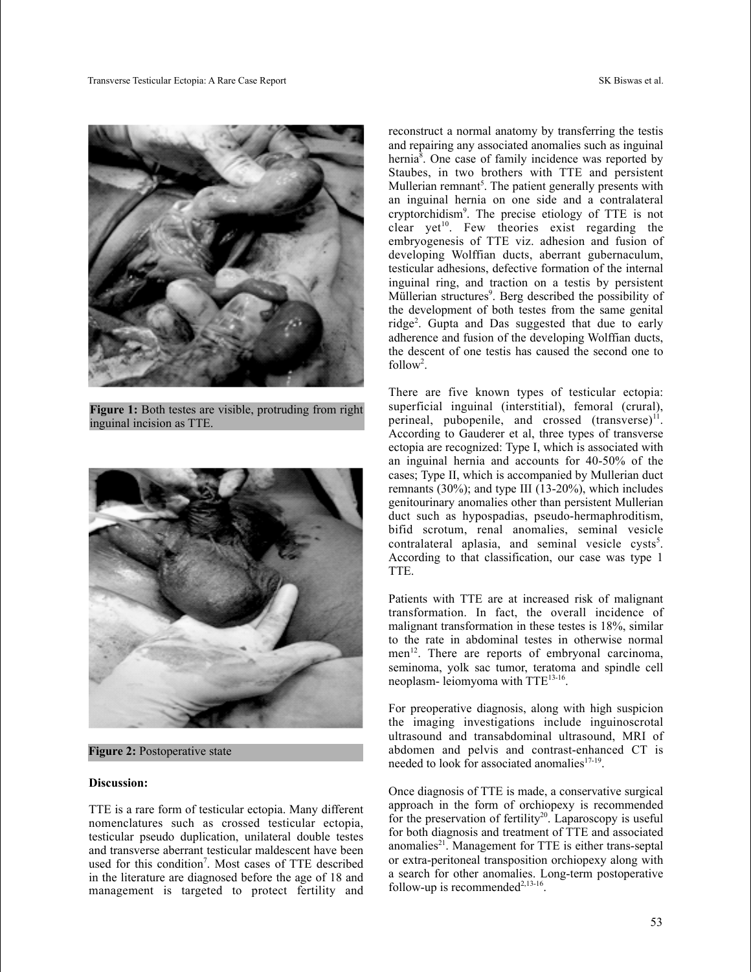

**Figure 1:** Both testes are visible, protruding from right inguinal incision as TTE.



**Figure 2:** Postoperative state

### **Discussion:**

TTE is a rare form of testicular ectopia. Many different nomenclatures such as crossed testicular ectopia, testicular pseudo duplication, unilateral double testes and transverse aberrant testicular maldescent have been used for this condition<sup>7</sup>. Most cases of TTE described in the literature are diagnosed before the age of 18 and management is targeted to protect fertility and reconstruct a normal anatomy by transferring the testis and repairing any associated anomalies such as inguinal hernia<sup>8</sup>. One case of family incidence was reported by Staubes, in two brothers with TTE and persistent Mullerian remnant<sup>5</sup>. The patient generally presents with an inguinal hernia on one side and a contralateral cryptorchidism9 . The precise etiology of TTE is not clear yet 10 . Few theories exist regarding the embryogenesis of TTE viz. adhesion and fusion of developing Wolffian ducts, aberrant gubernaculum, testicular adhesions, defective formation of the internal inguinal ring, and traction on a testis by persistent Müllerian structures<sup>9</sup>. Berg described the possibility of the development of both testes from the same genital ridge2 . Gupta and Das suggested that due to early adherence and fusion of the developing Wolffian ducts, the descent of one testis has caused the second one to  $follow<sup>2</sup>$ .

There are five known types of testicular ectopia: superficial inguinal (interstitial), femoral (crural), perineal, pubopenile, and crossed (transverse)<sup>11</sup>. According to Gauderer et al, three types of transverse ectopia are recognized: Type I, which is associated with an inguinal hernia and accounts for 40-50% of the cases; Type II, which is accompanied by Mullerian duct remnants (30%); and type III (13-20%), which includes genitourinary anomalies other than persistent Mullerian duct such as hypospadias, pseudo-hermaphroditism, bifid scrotum, renal anomalies, seminal vesicle contralateral aplasia, and seminal vesicle cysts<sup>5</sup>. According to that classification, our case was type 1 TTE.

Patients with TTE are at increased risk of malignant transformation. In fact, the overall incidence of malignant transformation in these testes is 18%, similar to the rate in abdominal testes in otherwise normal men<sup>12</sup>. There are reports of embryonal carcinoma, seminoma, yolk sac tumor, teratoma and spindle cell neoplasm- leiomyoma with TTE<sup>13-16</sup>.

For preoperative diagnosis, along with high suspicion the imaging investigations include inguinoscrotal ultrasound and transabdominal ultrasound, MRI of abdomen and pelvis and contrast-enhanced CT is needed to look for associated anomalies<sup>17-19</sup>.

Once diagnosis of TTE is made, a conservative surgical approach in the form of orchiopexy is recommended for the preservation of fertility<sup>20</sup>. Laparoscopy is useful for both diagnosis and treatment of TTE and associated anomalies<sup>21</sup>. Management for TTE is either trans-septal or extra-peritoneal transposition orchiopexy along with a search for other anomalies. Long-term postoperative follow-up is recommended $^{2,13-16}$ .